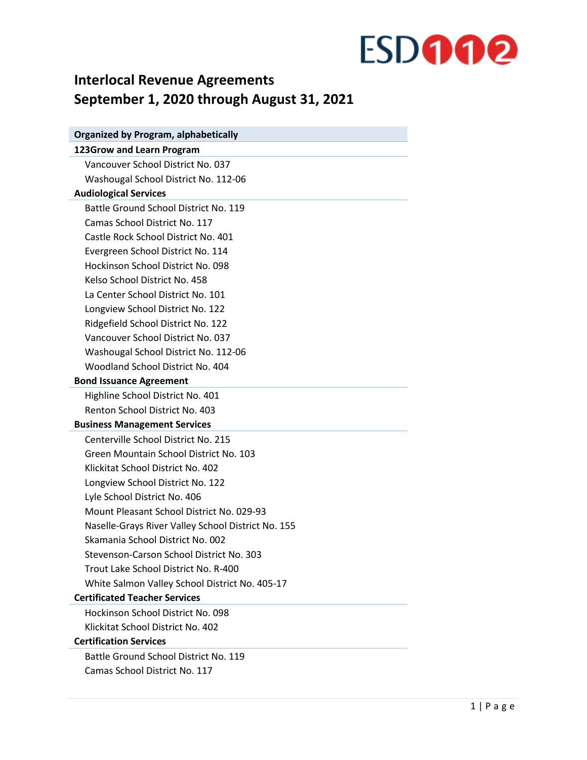### **Interlocal Revenue Agreements September 1, 2020 through August 31, 2021**

| <b>Organized by Program, alphabetically</b>        |
|----------------------------------------------------|
| 123Grow and Learn Program                          |
| Vancouver School District No. 037                  |
| Washougal School District No. 112-06               |
| <b>Audiological Services</b>                       |
| Battle Ground School District No. 119              |
| Camas School District No. 117                      |
| Castle Rock School District No. 401                |
| Evergreen School District No. 114                  |
| Hockinson School District No. 098                  |
| Kelso School District No. 458                      |
| La Center School District No. 101                  |
| Longview School District No. 122                   |
| Ridgefield School District No. 122                 |
| Vancouver School District No. 037                  |
| Washougal School District No. 112-06               |
| Woodland School District No. 404                   |
| <b>Bond Issuance Agreement</b>                     |
| Highline School District No. 401                   |
| Renton School District No. 403                     |
| <b>Business Management Services</b>                |
| Centerville School District No. 215                |
| Green Mountain School District No. 103             |
| Klickitat School District No. 402                  |
| Longview School District No. 122                   |
| Lyle School District No. 406                       |
| Mount Pleasant School District No. 029-93          |
| Naselle-Grays River Valley School District No. 155 |
| Skamania School District No. 002                   |
| Stevenson-Carson School District No. 303           |
| Trout Lake School District No. R-400               |
| White Salmon Valley School District No. 405-17     |
| <b>Certificated Teacher Services</b>               |
| Hockinson School District No. 098                  |
| Klickitat School District No. 402                  |
| <b>Certification Services</b>                      |
| Battle Ground School District No. 119              |
| Camas School District No. 117                      |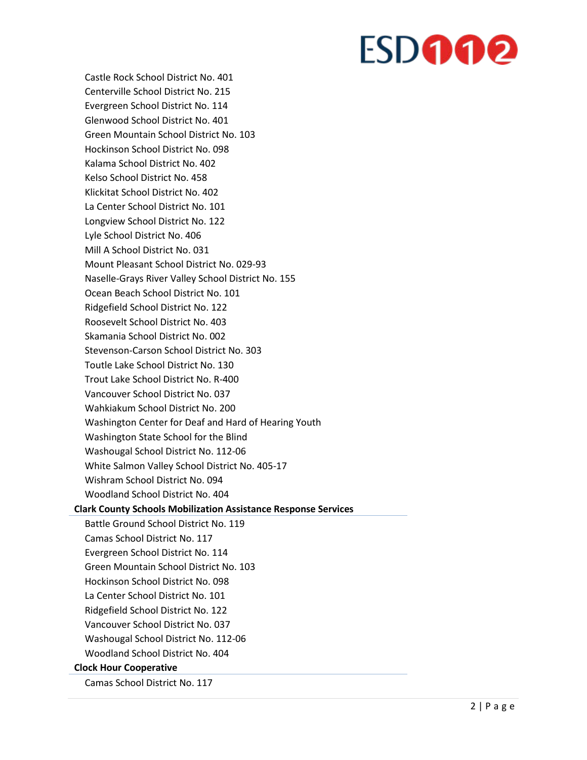Castle Rock School District No. 401 Centerville School District No. 215 Evergreen School District No. 114 Glenwood School District No. 401 Green Mountain School District No. 103 Hockinson School District No. 098 Kalama School District No. 402 Kelso School District No. 458 Klickitat School District No. 402 La Center School District No. 101 Longview School District No. 122 Lyle School District No. 406 Mill A School District No. 031 Mount Pleasant School District No. 029-93 Naselle-Grays River Valley School District No. 155 Ocean Beach School District No. 101 Ridgefield School District No. 122 Roosevelt School District No. 403 Skamania School District No. 002 Stevenson-Carson School District No. 303 Toutle Lake School District No. 130 Trout Lake School District No. R-400 Vancouver School District No. 037 Wahkiakum School District No. 200 Washington Center for Deaf and Hard of Hearing Youth Washington State School for the Blind Washougal School District No. 112-06 White Salmon Valley School District No. 405-17 Wishram School District No. 094 Woodland School District No. 404 **Clark County Schools Mobilization Assistance Response Services** Battle Ground School District No. 119 Camas School District No. 117 Evergreen School District No. 114 Green Mountain School District No. 103 Hockinson School District No. 098 La Center School District No. 101 Ridgefield School District No. 122 Vancouver School District No. 037 Washougal School District No. 112-06 Woodland School District No. 404 **Clock Hour Cooperative** Camas School District No. 117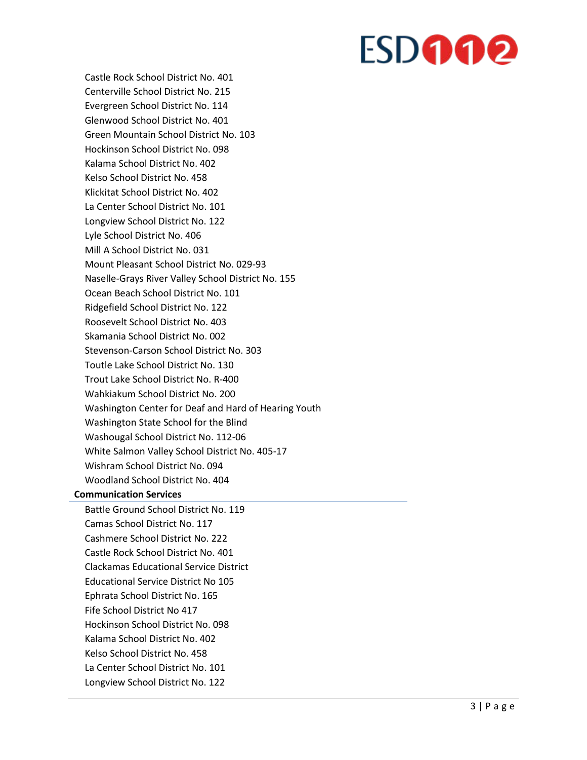Castle Rock School District No. 401 Centerville School District No. 215 Evergreen School District No. 114 Glenwood School District No. 401 Green Mountain School District No. 103 Hockinson School District No. 098 Kalama School District No. 402 Kelso School District No. 458 Klickitat School District No. 402 La Center School District No. 101 Longview School District No. 122 Lyle School District No. 406 Mill A School District No. 031 Mount Pleasant School District No. 029-93 Naselle-Grays River Valley School District No. 155 Ocean Beach School District No. 101 Ridgefield School District No. 122 Roosevelt School District No. 403 Skamania School District No. 002 Stevenson-Carson School District No. 303 Toutle Lake School District No. 130 Trout Lake School District No. R-400 Wahkiakum School District No. 200 Washington Center for Deaf and Hard of Hearing Youth Washington State School for the Blind Washougal School District No. 112-06 White Salmon Valley School District No. 405-17 Wishram School District No. 094 Woodland School District No. 404 **Communication Services** Battle Ground School District No. 119 Camas School District No. 117 Cashmere School District No. 222 Castle Rock School District No. 401 Clackamas Educational Service District Educational Service District No 105 Ephrata School District No. 165 Fife School District No 417 Hockinson School District No. 098 Kalama School District No. 402 Kelso School District No. 458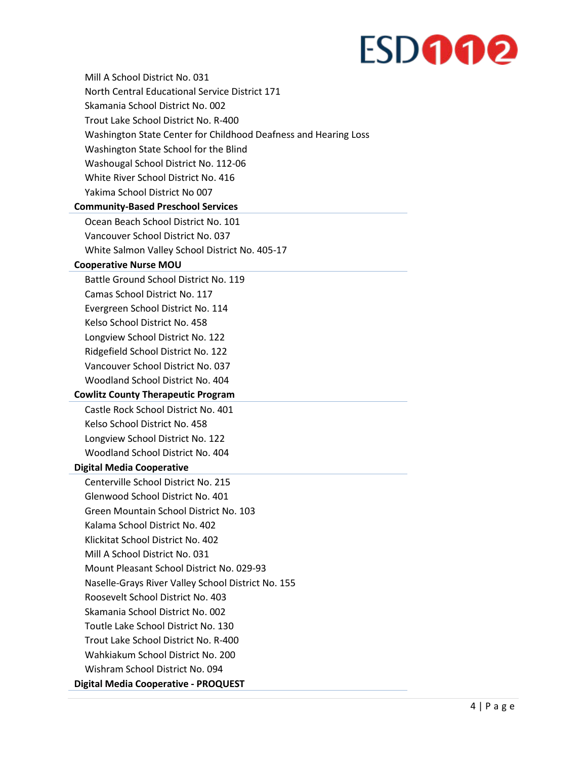| Mill A School District No. 031                                  |
|-----------------------------------------------------------------|
| North Central Educational Service District 171                  |
| Skamania School District No. 002                                |
| Trout Lake School District No. R-400                            |
| Washington State Center for Childhood Deafness and Hearing Loss |
| Washington State School for the Blind                           |
| Washougal School District No. 112-06                            |
| White River School District No. 416                             |
| Yakima School District No 007                                   |
| <b>Community-Based Preschool Services</b>                       |
| Ocean Beach School District No. 101                             |
| Vancouver School District No. 037                               |
| White Salmon Valley School District No. 405-17                  |
| <b>Cooperative Nurse MOU</b>                                    |
| Battle Ground School District No. 119                           |
| Camas School District No. 117                                   |
| Evergreen School District No. 114                               |
| Kelso School District No. 458                                   |
| Longview School District No. 122                                |
| Ridgefield School District No. 122                              |
| Vancouver School District No. 037                               |
| Woodland School District No. 404                                |
| <b>Cowlitz County Therapeutic Program</b>                       |
| Castle Rock School District No. 401                             |
| Kelso School District No. 458                                   |
| Longview School District No. 122                                |
| Woodland School District No. 404                                |
| <b>Digital Media Cooperative</b>                                |
| Centerville School District No. 215                             |
| Glenwood School District No. 401                                |
| Green Mountain School District No. 103                          |
| Kalama School District No. 402                                  |
| Klickitat School District No. 402                               |
| Mill A School District No. 031                                  |
| Mount Pleasant School District No. 029-93                       |
| Naselle-Grays River Valley School District No. 155              |
| Roosevelt School District No. 403                               |
| Skamania School District No. 002                                |
| Toutle Lake School District No. 130                             |
| Trout Lake School District No. R-400                            |
| Wahkiakum School District No. 200                               |
| Wishram School District No. 094                                 |
| Digital Media Cooperative - PROQUEST                            |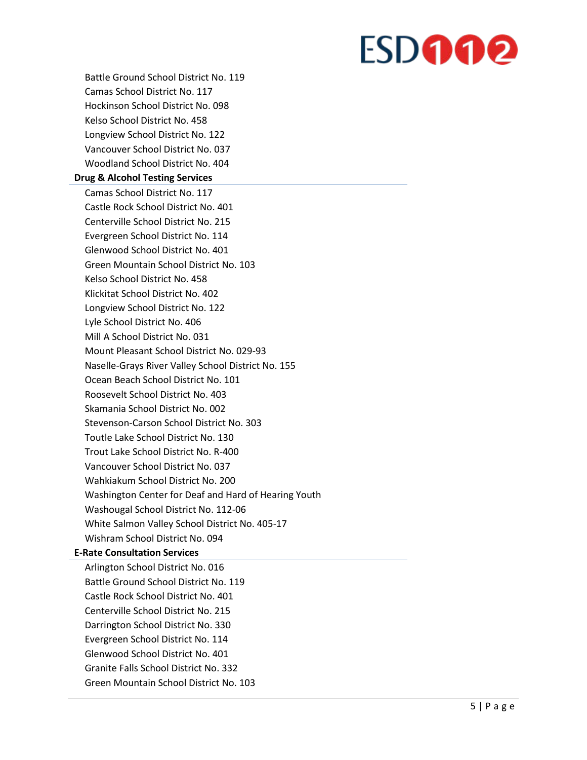Battle Ground School District No. 119 Camas School District No. 117 Hockinson School District No. 098 Kelso School District No. 458 Longview School District No. 122 Vancouver School District No. 037 Woodland School District No. 404 **Drug & Alcohol Testing Services** Camas School District No. 117 Castle Rock School District No. 401 Centerville School District No. 215 Evergreen School District No. 114 Glenwood School District No. 401 Green Mountain School District No. 103 Kelso School District No. 458 Klickitat School District No. 402 Longview School District No. 122 Lyle School District No. 406 Mill A School District No. 031 Mount Pleasant School District No. 029-93 Naselle-Grays River Valley School District No. 155 Ocean Beach School District No. 101 Roosevelt School District No. 403 Skamania School District No. 002 Stevenson-Carson School District No. 303 Toutle Lake School District No. 130 Trout Lake School District No. R-400 Vancouver School District No. 037 Wahkiakum School District No. 200 Washington Center for Deaf and Hard of Hearing Youth Washougal School District No. 112-06 White Salmon Valley School District No. 405-17 Wishram School District No. 094 **E-Rate Consultation Services** Arlington School District No. 016 Battle Ground School District No. 119 Castle Rock School District No. 401 Centerville School District No. 215 Darrington School District No. 330 Evergreen School District No. 114 Glenwood School District No. 401

Granite Falls School District No. 332

Green Mountain School District No. 103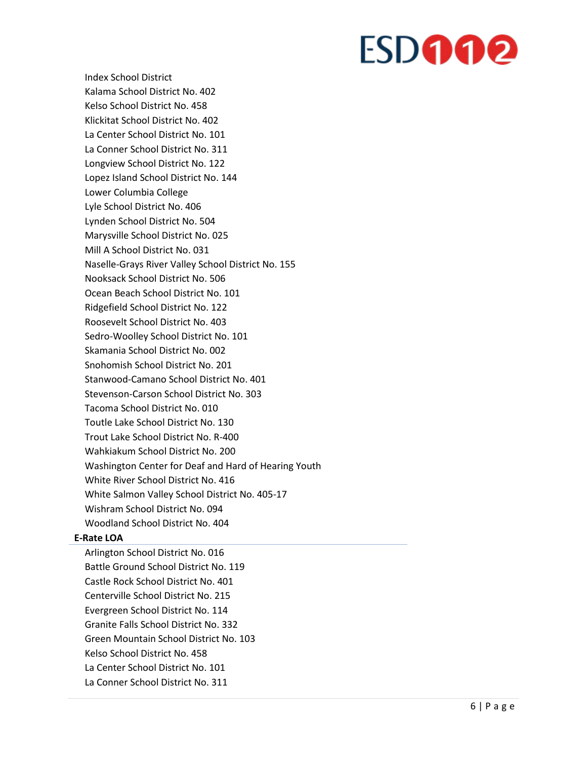Index School District Kalama School District No. 402 Kelso School District No. 458 Klickitat School District No. 402 La Center School District No. 101 La Conner School District No. 311 Longview School District No. 122 Lopez Island School District No. 144 Lower Columbia College Lyle School District No. 406 Lynden School District No. 504 Marysville School District No. 025 Mill A School District No. 031 Naselle-Grays River Valley School District No. 155 Nooksack School District No. 506 Ocean Beach School District No. 101 Ridgefield School District No. 122 Roosevelt School District No. 403 Sedro-Woolley School District No. 101 Skamania School District No. 002 Snohomish School District No. 201 Stanwood-Camano School District No. 401 Stevenson-Carson School District No. 303 Tacoma School District No. 010 Toutle Lake School District No. 130 Trout Lake School District No. R-400 Wahkiakum School District No. 200 Washington Center for Deaf and Hard of Hearing Youth White River School District No. 416 White Salmon Valley School District No. 405-17 Wishram School District No. 094 Woodland School District No. 404

#### **E-Rate LOA**

Arlington School District No. 016 Battle Ground School District No. 119 Castle Rock School District No. 401 Centerville School District No. 215 Evergreen School District No. 114 Granite Falls School District No. 332 Green Mountain School District No. 103 Kelso School District No. 458 La Center School District No. 101 La Conner School District No. 311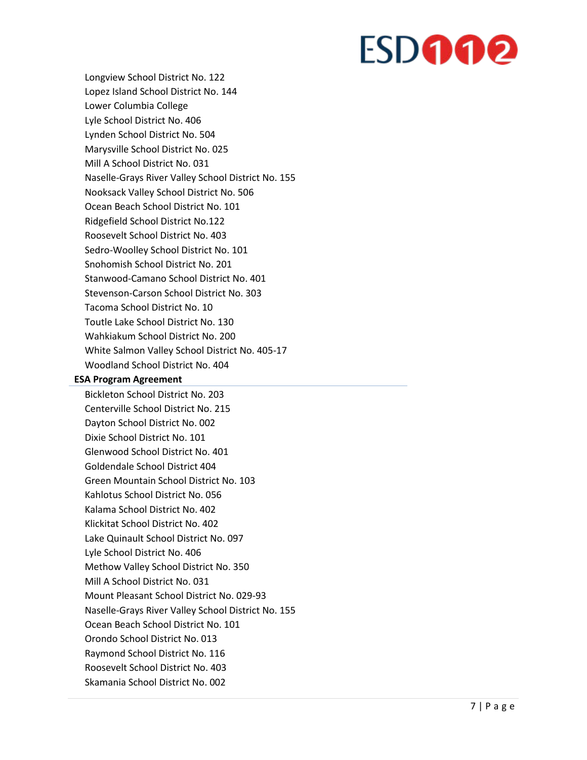Longview School District No. 122 Lopez Island School District No. 144 Lower Columbia College Lyle School District No. 406 Lynden School District No. 504 Marysville School District No. 025 Mill A School District No. 031 Naselle-Grays River Valley School District No. 155 Nooksack Valley School District No. 506 Ocean Beach School District No. 101 Ridgefield School District No.122 Roosevelt School District No. 403 Sedro-Woolley School District No. 101 Snohomish School District No. 201 Stanwood-Camano School District No. 401 Stevenson-Carson School District No. 303 Tacoma School District No. 10 Toutle Lake School District No. 130 Wahkiakum School District No. 200 White Salmon Valley School District No. 405-17 Woodland School District No. 404

#### **ESA Program Agreement**

Bickleton School District No. 203 Centerville School District No. 215 Dayton School District No. 002 Dixie School District No. 101 Glenwood School District No. 401 Goldendale School District 404 Green Mountain School District No. 103 Kahlotus School District No. 056 Kalama School District No. 402 Klickitat School District No. 402 Lake Quinault School District No. 097 Lyle School District No. 406 Methow Valley School District No. 350 Mill A School District No. 031 Mount Pleasant School District No. 029-93 Naselle-Grays River Valley School District No. 155 Ocean Beach School District No. 101 Orondo School District No. 013 Raymond School District No. 116 Roosevelt School District No. 403 Skamania School District No. 002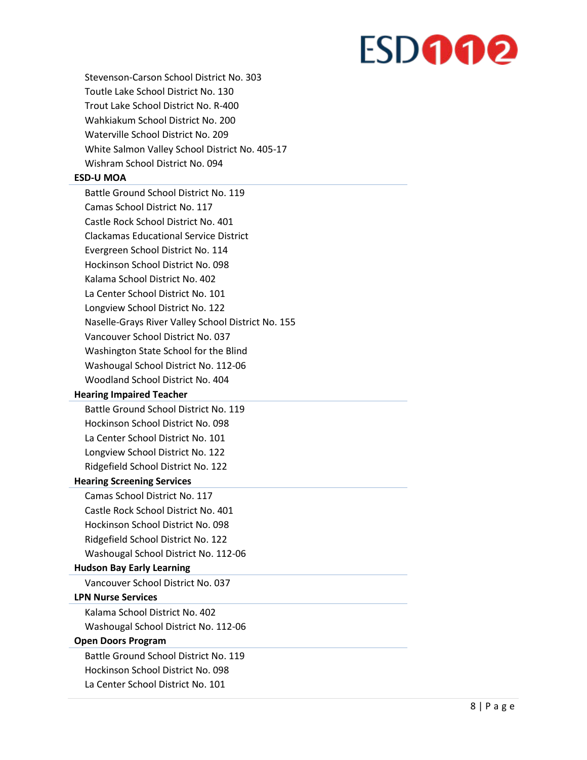Stevenson-Carson School District No. 303 Toutle Lake School District No. 130 Trout Lake School District No. R-400 Wahkiakum School District No. 200 Waterville School District No. 209 White Salmon Valley School District No. 405-17 Wishram School District No. 094

#### **ESD-U MOA**

Battle Ground School District No. 119 Camas School District No. 117 Castle Rock School District No. 401 Clackamas Educational Service District Evergreen School District No. 114 Hockinson School District No. 098 Kalama School District No. 402 La Center School District No. 101 Longview School District No. 122 Naselle-Grays River Valley School District No. 155 Vancouver School District No. 037 Washington State School for the Blind Washougal School District No. 112-06 Woodland School District No. 404 **Hearing Impaired Teacher** Battle Ground School District No. 119 Hockinson School District No. 098 La Center School District No. 101 Longview School District No. 122 Ridgefield School District No. 122 **Hearing Screening Services** Camas School District No. 117 Castle Rock School District No. 401 Hockinson School District No. 098 Ridgefield School District No. 122 Washougal School District No. 112-06 **Hudson Bay Early Learning** Vancouver School District No. 037 **LPN Nurse Services** Kalama School District No. 402 Washougal School District No. 112-06 **Open Doors Program** Battle Ground School District No. 119 Hockinson School District No. 098 La Center School District No. 101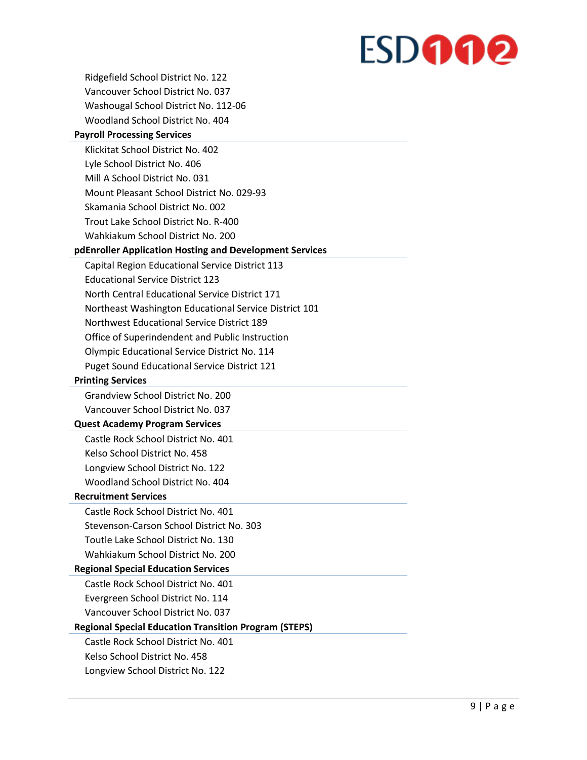Ridgefield School District No. 122 Vancouver School District No. 037 Washougal School District No. 112-06 Woodland School District No. 404 **Payroll Processing Services** Klickitat School District No. 402 Lyle School District No. 406 Mill A School District No. 031 Mount Pleasant School District No. 029-93 Skamania School District No. 002 Trout Lake School District No. R-400 Wahkiakum School District No. 200 **pdEnroller Application Hosting and Development Services** Capital Region Educational Service District 113 Educational Service District 123 North Central Educational Service District 171 Northeast Washington Educational Service District 101 Northwest Educational Service District 189 Office of Superindendent and Public Instruction Olympic Educational Service District No. 114 Puget Sound Educational Service District 121 **Printing Services** Grandview School District No. 200 Vancouver School District No. 037 **Quest Academy Program Services** Castle Rock School District No. 401 Kelso School District No. 458 Longview School District No. 122 Woodland School District No. 404 **Recruitment Services** Castle Rock School District No. 401 Stevenson-Carson School District No. 303 Toutle Lake School District No. 130 Wahkiakum School District No. 200 **Regional Special Education Services** Castle Rock School District No. 401 Evergreen School District No. 114 Vancouver School District No. 037 **Regional Special Education Transition Program (STEPS)** Castle Rock School District No. 401 Kelso School District No. 458 Longview School District No. 122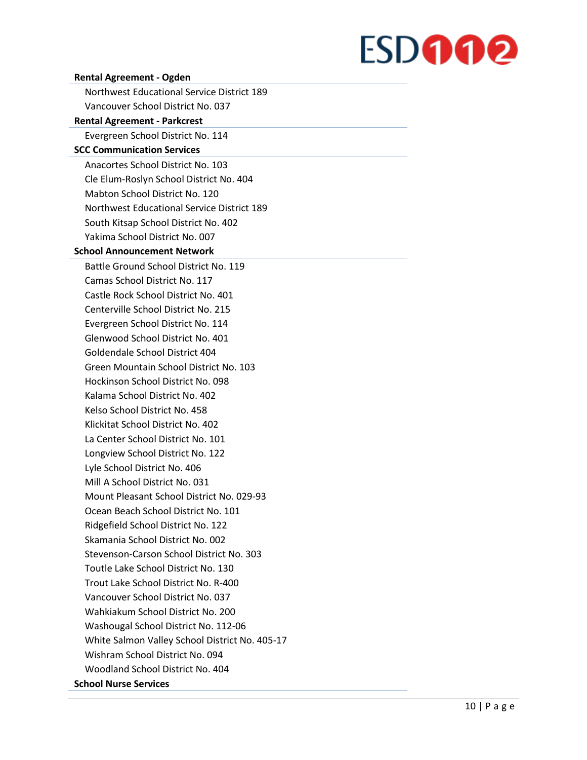| <b>Rental Agreement - Ogden</b>                   |
|---------------------------------------------------|
| <b>Northwest Educational Service District 189</b> |
| Vancouver School District No. 037                 |
| <b>Rental Agreement - Parkcrest</b>               |
| Evergreen School District No. 114                 |
| <b>SCC Communication Services</b>                 |
| Anacortes School District No. 103                 |
| Cle Elum-Roslyn School District No. 404           |
| Mabton School District No. 120                    |
| <b>Northwest Educational Service District 189</b> |
| South Kitsap School District No. 402              |
| Yakima School District No. 007                    |
| <b>School Announcement Network</b>                |
| Battle Ground School District No. 119             |
| Camas School District No. 117                     |
| Castle Rock School District No. 401               |
| Centerville School District No. 215               |
| Evergreen School District No. 114                 |
| Glenwood School District No. 401                  |
| Goldendale School District 404                    |
| Green Mountain School District No. 103            |
| Hockinson School District No. 098                 |
| Kalama School District No. 402                    |
| Kelso School District No. 458                     |
| Klickitat School District No. 402                 |
| La Center School District No. 101                 |
| Longview School District No. 122                  |
| Lyle School District No. 406                      |
| Mill A School District No. 031                    |
| Mount Pleasant School District No. 029-93         |
| Ocean Beach School District No. 101               |
| Ridgefield School District No. 122                |
| Skamania School District No. 002                  |
| Stevenson-Carson School District No. 303          |
| Toutle Lake School District No. 130               |
| Trout Lake School District No. R-400              |
| Vancouver School District No. 037                 |
| Wahkiakum School District No. 200                 |
| Washougal School District No. 112-06              |
| White Salmon Valley School District No. 405-17    |
| Wishram School District No. 094                   |
| Woodland School District No. 404                  |
| <b>School Nurse Services</b>                      |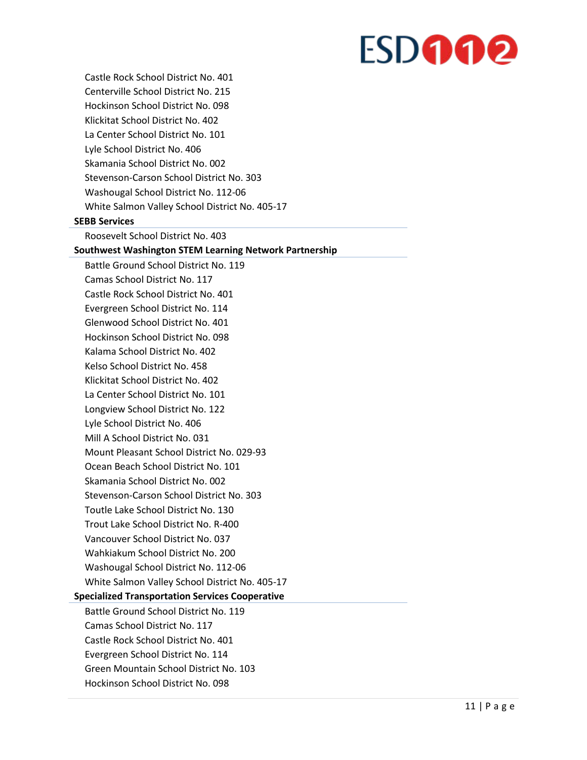Castle Rock School District No. 401 Centerville School District No. 215 Hockinson School District No. 098 Klickitat School District No. 402 La Center School District No. 101 Lyle School District No. 406 Skamania School District No. 002 Stevenson-Carson School District No. 303 Washougal School District No. 112-06 White Salmon Valley School District No. 405-17

#### **SEBB Services**

Roosevelt School District No. 403

#### **Southwest Washington STEM Learning Network Partnership**

Battle Ground School District No. 119 Camas School District No. 117 Castle Rock School District No. 401 Evergreen School District No. 114 Glenwood School District No. 401 Hockinson School District No. 098 Kalama School District No. 402 Kelso School District No. 458 Klickitat School District No. 402 La Center School District No. 101 Longview School District No. 122 Lyle School District No. 406 Mill A School District No. 031 Mount Pleasant School District No. 029-93 Ocean Beach School District No. 101 Skamania School District No. 002 Stevenson-Carson School District No. 303 Toutle Lake School District No. 130 Trout Lake School District No. R-400 Vancouver School District No. 037 Wahkiakum School District No. 200 Washougal School District No. 112-06 White Salmon Valley School District No. 405-17

#### **Specialized Transportation Services Cooperative**

Battle Ground School District No. 119 Camas School District No. 117 Castle Rock School District No. 401 Evergreen School District No. 114 Green Mountain School District No. 103 Hockinson School District No. 098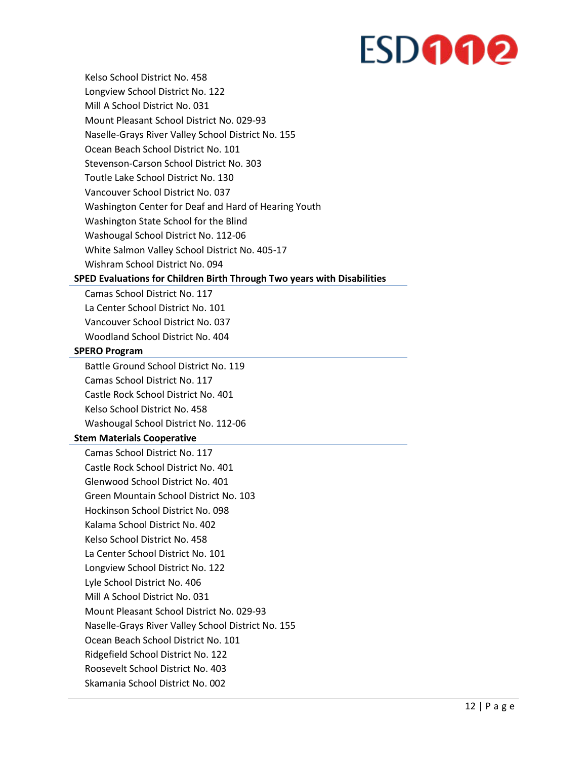Kelso School District No. 458 Longview School District No. 122 Mill A School District No. 031 Mount Pleasant School District No. 029-93 Naselle-Grays River Valley School District No. 155 Ocean Beach School District No. 101 Stevenson-Carson School District No. 303 Toutle Lake School District No. 130 Vancouver School District No. 037 Washington Center for Deaf and Hard of Hearing Youth Washington State School for the Blind Washougal School District No. 112-06 White Salmon Valley School District No. 405-17 Wishram School District No. 094

#### **SPED Evaluations for Children Birth Through Two years with Disabilities**

Camas School District No. 117 La Center School District No. 101 Vancouver School District No. 037 Woodland School District No. 404

#### **SPERO Program**

Battle Ground School District No. 119 Camas School District No. 117 Castle Rock School District No. 401 Kelso School District No. 458 Washougal School District No. 112-06

#### **Stem Materials Cooperative**

Camas School District No. 117 Castle Rock School District No. 401 Glenwood School District No. 401 Green Mountain School District No. 103 Hockinson School District No. 098 Kalama School District No. 402 Kelso School District No. 458 La Center School District No. 101 Longview School District No. 122 Lyle School District No. 406 Mill A School District No. 031 Mount Pleasant School District No. 029-93 Naselle-Grays River Valley School District No. 155 Ocean Beach School District No. 101 Ridgefield School District No. 122 Roosevelt School District No. 403 Skamania School District No. 002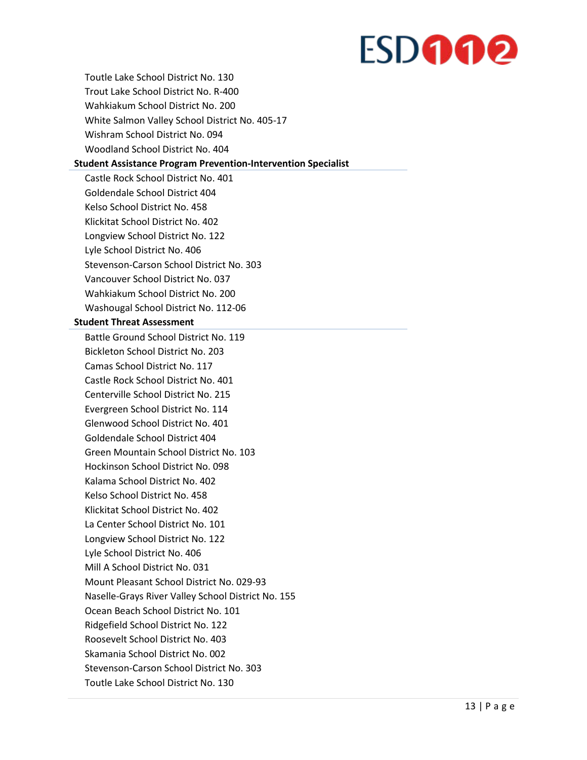Toutle Lake School District No. 130 Trout Lake School District No. R-400 Wahkiakum School District No. 200 White Salmon Valley School District No. 405-17 Wishram School District No. 094 Woodland School District No. 404

#### **Student Assistance Program Prevention-Intervention Specialist**

Castle Rock School District No. 401 Goldendale School District 404 Kelso School District No. 458 Klickitat School District No. 402 Longview School District No. 122 Lyle School District No. 406 Stevenson-Carson School District No. 303 Vancouver School District No. 037 Wahkiakum School District No. 200 Washougal School District No. 112-06

#### **Student Threat Assessment**

Battle Ground School District No. 119 Bickleton School District No. 203 Camas School District No. 117 Castle Rock School District No. 401 Centerville School District No. 215 Evergreen School District No. 114 Glenwood School District No. 401 Goldendale School District 404 Green Mountain School District No. 103 Hockinson School District No. 098 Kalama School District No. 402 Kelso School District No. 458 Klickitat School District No. 402 La Center School District No. 101 Longview School District No. 122 Lyle School District No. 406 Mill A School District No. 031 Mount Pleasant School District No. 029-93 Naselle-Grays River Valley School District No. 155 Ocean Beach School District No. 101 Ridgefield School District No. 122 Roosevelt School District No. 403 Skamania School District No. 002 Stevenson-Carson School District No. 303 Toutle Lake School District No. 130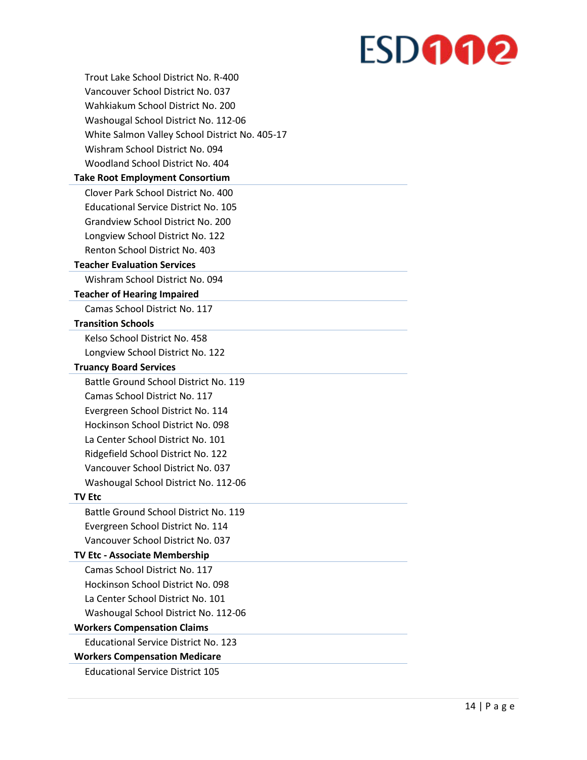| Trout Lake School District No. R-400           |
|------------------------------------------------|
| Vancouver School District No. 037              |
| Wahkiakum School District No. 200              |
| Washougal School District No. 112-06           |
| White Salmon Valley School District No. 405-17 |
| Wishram School District No. 094                |
| Woodland School District No. 404               |
| <b>Take Root Employment Consortium</b>         |
| Clover Park School District No. 400            |
| <b>Educational Service District No. 105</b>    |
| Grandview School District No. 200              |
| Longview School District No. 122               |
| Renton School District No. 403                 |
| <b>Teacher Evaluation Services</b>             |
| Wishram School District No. 094                |
| <b>Teacher of Hearing Impaired</b>             |
| Camas School District No. 117                  |
| <b>Transition Schools</b>                      |
| Kelso School District No. 458                  |
| Longview School District No. 122               |
| <b>Truancy Board Services</b>                  |
| Battle Ground School District No. 119          |
| Camas School District No. 117                  |
| Evergreen School District No. 114              |
| Hockinson School District No. 098              |
| La Center School District No. 101              |
| Ridgefield School District No. 122             |
| Vancouver School District No. 037              |
| Washougal School District No. 112-06           |
| <b>TV Etc</b>                                  |
| Battle Ground School District No. 119          |
| Evergreen School District No. 114              |
| Vancouver School District No. 037              |
| <b>TV Etc - Associate Membership</b>           |
| Camas School District No. 117                  |
| Hockinson School District No. 098              |
| La Center School District No. 101              |
| Washougal School District No. 112-06           |
| <b>Workers Compensation Claims</b>             |
| <b>Educational Service District No. 123</b>    |
| <b>Workers Compensation Medicare</b>           |
| <b>Educational Service District 105</b>        |
|                                                |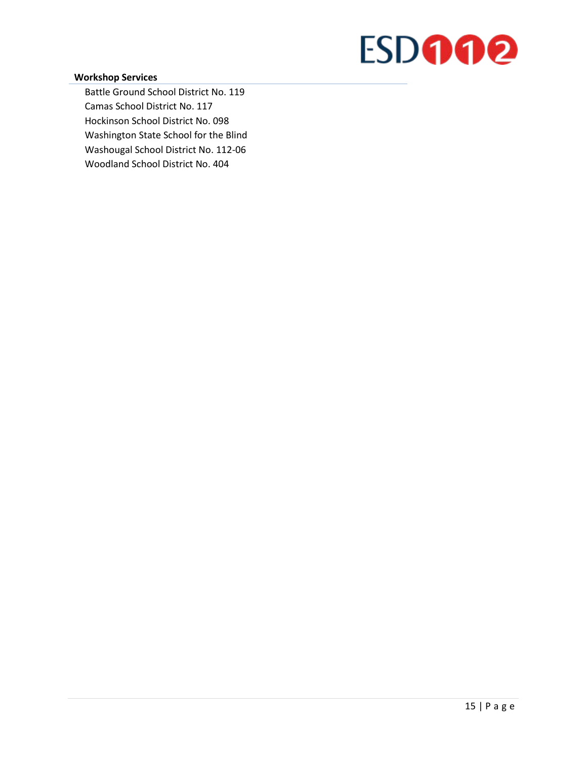#### **Workshop Services**

Battle Ground School District No. 119 Camas School District No. 117 Hockinson School District No. 098 Washington State School for the Blind Washougal School District No. 112-06 Woodland School District No. 404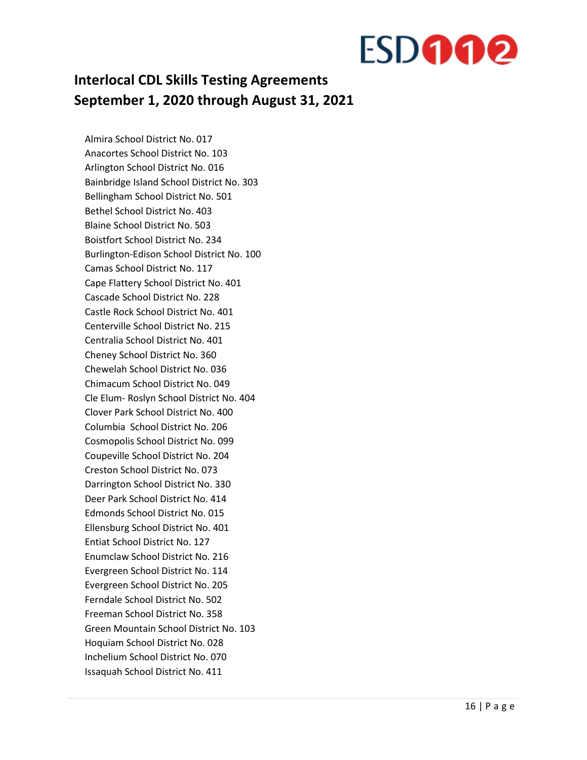### **Interlocal CDL Skills Testing Agreements September 1, 2020 through August 31, 2021**

Almira School District No. 017 Anacortes School District No. 103 Arlington School District No. 016 Bainbridge Island School District No. 303 Bellingham School District No. 501 Bethel School District No. 403 Blaine School District No. 503 Boistfort School District No. 234 Burlington-Edison School District No. 100 Camas School District No. 117 Cape Flattery School District No. 401 Cascade School District No. 228 Castle Rock School District No. 401 Centerville School District No. 215 Centralia School District No. 401 Cheney School District No. 360 Chewelah School District No. 036 Chimacum School District No. 049 Cle Elum- Roslyn School District No. 404 Clover Park School District No. 400 Columbia School District No. 206 Cosmopolis School District No. 099 Coupeville School District No. 204 Creston School District No. 073 Darrington School District No. 330 Deer Park School District No. 414 Edmonds School District No. 015 Ellensburg School District No. 401 Entiat School District No. 127 Enumclaw School District No. 216 Evergreen School District No. 114 Evergreen School District No. 205 Ferndale School District No. 502 Freeman School District No. 358 Green Mountain School District No. 103 Hoquiam School District No. 028 Inchelium School District No. 070 Issaquah School District No. 411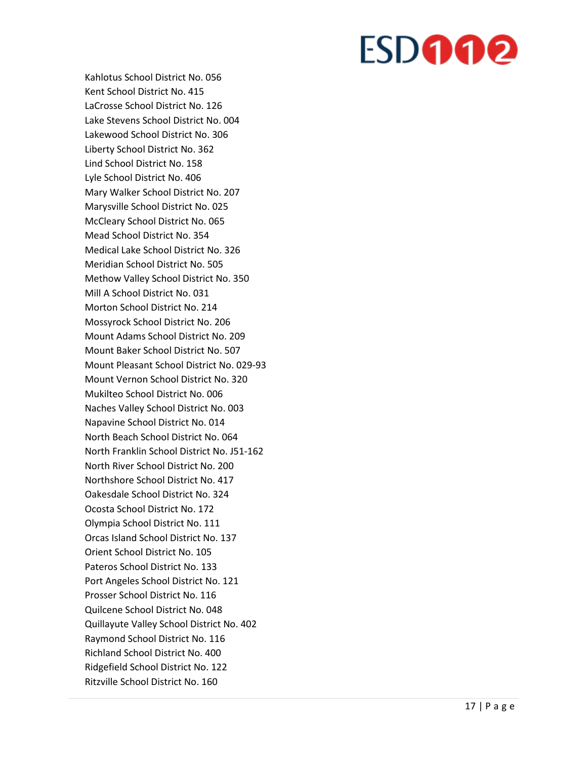Kahlotus School District No. 056 Kent School District No. 415 LaCrosse School District No. 126 Lake Stevens School District No. 004 Lakewood School District No. 306 Liberty School District No. 362 Lind School District No. 158 Lyle School District No. 406 Mary Walker School District No. 207 Marysville School District No. 025 McCleary School District No. 065 Mead School District No. 354 Medical Lake School District No. 326 Meridian School District No. 505 Methow Valley School District No. 350 Mill A School District No. 031 Morton School District No. 214 Mossyrock School District No. 206 Mount Adams School District No. 209 Mount Baker School District No. 507 Mount Pleasant School District No. 029 -93 Mount Vernon School District No. 320 Mukilteo School District No. 006 Naches Valley School District No. 003 Napavine School District No. 014 North Beach School District No. 064 North Franklin School District No. J51 -162 North River School District No. 200 Northshore School District No. 417 Oakesdale School District No. 324 Ocosta School District No. 172 Olympia School District No. 111 Orcas Island School District No. 137 Orient School District No. 105 Pateros School District No. 133 Port Angeles School District No. 121 Prosser School District No. 116 Quilcene School District No. 048 Quillayute Valley School District No. 402 Raymond School District No. 116 Richland School District No. 400 Ridgefield School District No. 122 Ritzville School District No. 160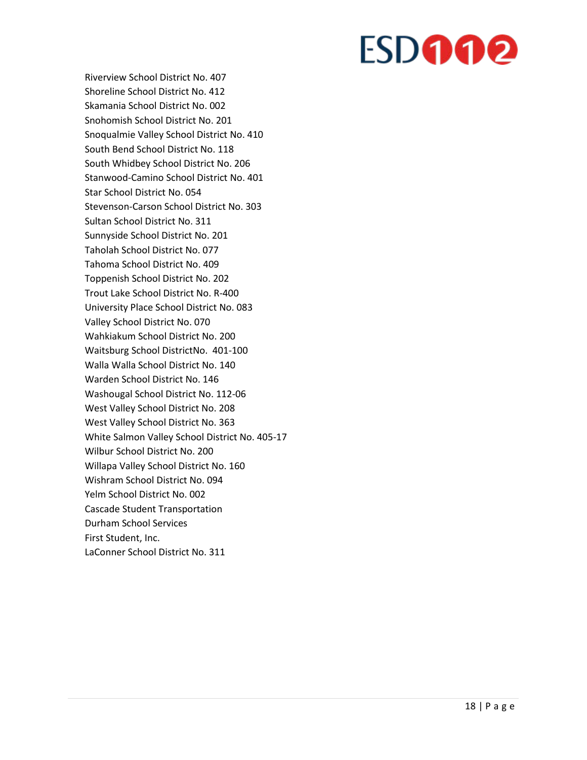Riverview School District No. 407 Shoreline School District No. 412 Skamania School District No. 002 Snohomish School District No. 201 Snoqualmie Valley School District No. 410 South Bend School District No. 118 South Whidbey School District No. 206 Stanwood-Camino School District No. 401 Star School District No. 054 Stevenson-Carson School District No. 303 Sultan School District No. 311 Sunnyside School District No. 201 Taholah School District No. 077 Tahoma School District No. 409 Toppenish School District No. 202 Trout Lake School District No. R-400 University Place School District No. 083 Valley School District No. 070 Wahkiakum School District No. 200 Waitsburg School DistrictNo. 401-100 Walla Walla School District No. 140 Warden School District No. 146 Washougal School District No. 112-06 West Valley School District No. 208 West Valley School District No. 363 White Salmon Valley School District No. 405-17 Wilbur School District No. 200 Willapa Valley School District No. 160 Wishram School District No. 094 Yelm School District No. 002 Cascade Student Transportation Durham School Services First Student, Inc. LaConner School District No. 311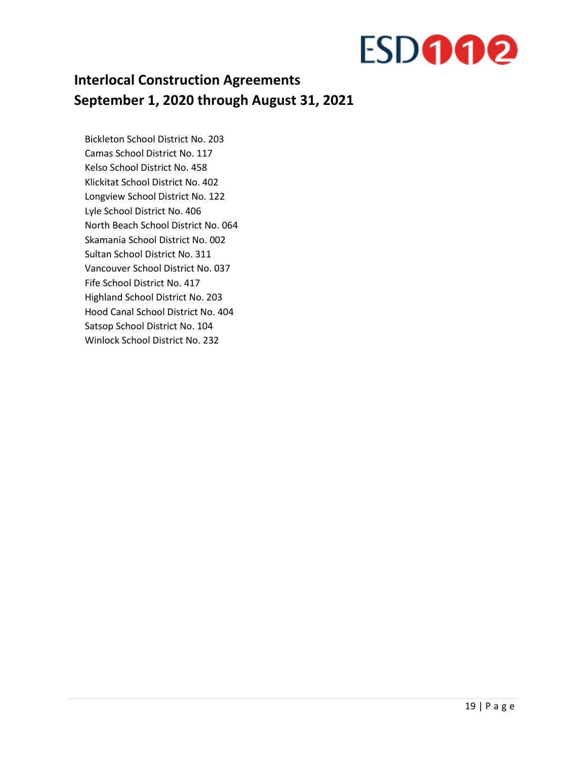

### **Interlocal Construction Agreements September 1, 2020 through August 31, 2021**

Bickleton School District No. 203 Camas School District No. 117 Kelso School District No. 458 Klickitat School District No. 402 Longview School District No. 122 Lyle School District No. 406 North Beach School District No. 064 Skamania School District No. 002 Sultan School District No. 311 Vancouver School District No. 037 Fife School District No. 417 Highland School District No. 203 Hood Canal School District No. 404 Satsop School District No. 104 Winlock School District No. 232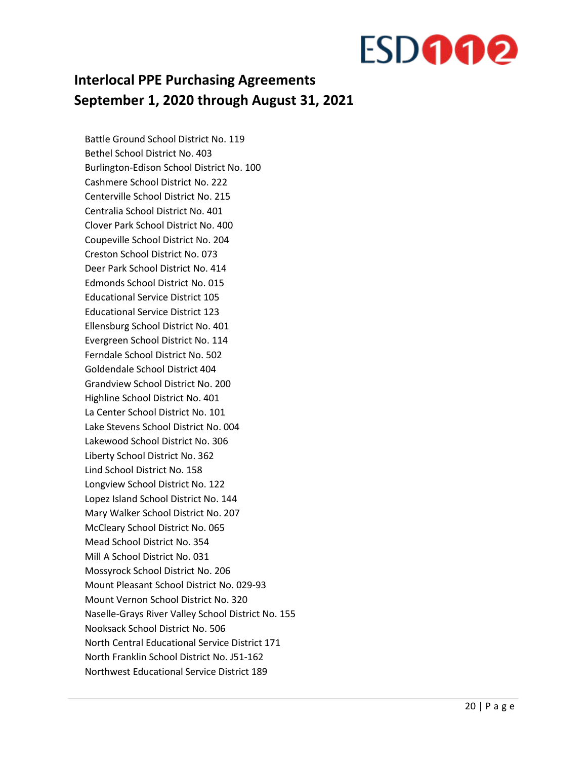### **Interlocal PPE Purchasing Agreements September 1, 2020 through August 31, 2021**

Battle Ground School District No. 119 Bethel School District No. 403 Burlington-Edison School District No. 100 Cashmere School District No. 222 Centerville School District No. 215 Centralia School District No. 401 Clover Park School District No. 400 Coupeville School District No. 204 Creston School District No. 073 Deer Park School District No. 414 Edmonds School District No. 015 Educational Service District 105 Educational Service District 123 Ellensburg School District No. 401 Evergreen School District No. 114 Ferndale School District No. 502 Goldendale School District 404 Grandview School District No. 200 Highline School District No. 401 La Center School District No. 101 Lake Stevens School District No. 004 Lakewood School District No. 306 Liberty School District No. 362 Lind School District No. 158 Longview School District No. 122 Lopez Island School District No. 144 Mary Walker School District No. 207 McCleary School District No. 065 Mead School District No. 354 Mill A School District No. 031 Mossyrock School District No. 206 Mount Pleasant School District No. 029-93 Mount Vernon School District No. 320 Naselle-Grays River Valley School District No. 155 Nooksack School District No. 506 North Central Educational Service District 171 North Franklin School District No. J51-162 Northwest Educational Service District 189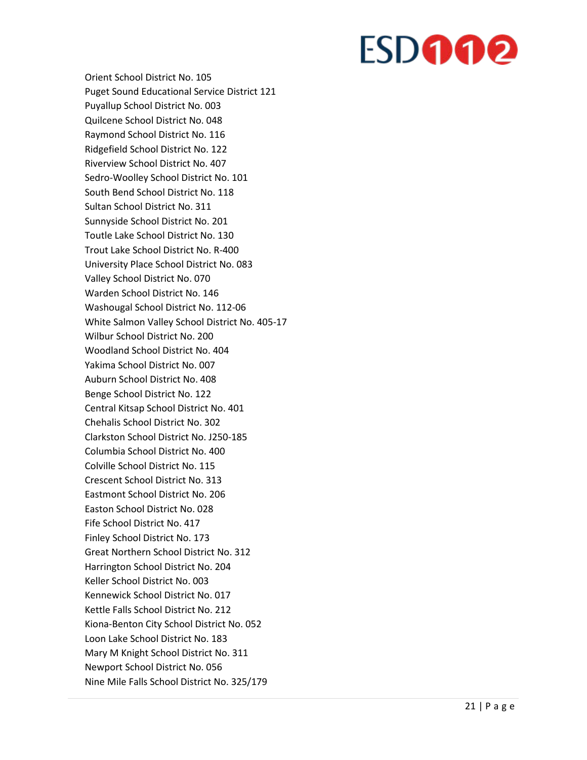Orient School District No. 105 Puget Sound Educational Service District 121 Puyallup School District No. 003 Quilcene School District No. 048 Raymond School District No. 116 Ridgefield School District No. 122 Riverview School District No. 407 Sedro -Woolley School District No. 101 South Bend School District No. 118 Sultan School District No. 311 Sunnyside School District No. 201 Toutle Lake School District No. 130 Trout Lake School District No. R -400 University Place School District No. 083 Valley School District No. 070 Warden School District No. 146 Washougal School District No. 112 -06 White Salmon Valley School District No. 405 -17 Wilbur School District No. 200 Woodland School District No. 404 Yakima School District No. 007 Auburn School District No. 408 Benge School District No. 122 Central Kitsap School District No. 401 Chehalis School District No. 302 Clarkston School District No. J250 -185 Columbia School District No. 400 Colville School District No. 115 Crescent School District No. 313 Eastmont School District No. 206 Easton School District No. 028 Fife School District No. 417 Finley School District No. 173 Great Northern School District No. 312 Harrington School District No. 204 Keller School District No. 003 Kennewick School District No. 017 Kettle Falls School District No. 212 Kiona -Benton City School District No. 052 Loon Lake School District No. 183 Mary M Knight School District No. 311 Newport School District No. 056 Nine Mile Falls School District No. 325/179